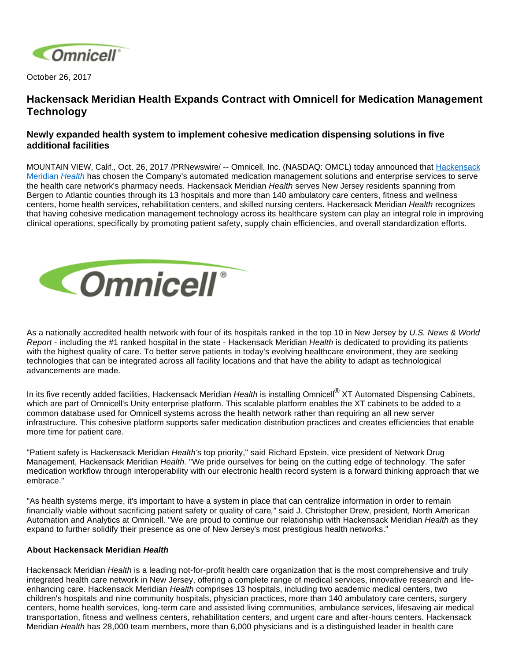

October 26, 2017

# **Hackensack Meridian Health Expands Contract with Omnicell for Medication Management Technology**

## **Newly expanded health system to implement cohesive medication dispensing solutions in five additional facilities**

MOUNTAIN VIEW, Calif., Oct. 26, 2017 /PRNewswire/ -- Omnicell, Inc. (NASDAQ: OMCL) today announced that [Hackensack](https://www.hackensackmeridianhealth.org/)  [Meridian](https://www.hackensackmeridianhealth.org/) Health has chosen the Company's automated medication management solutions and enterprise services to serve the health care network's pharmacy needs. Hackensack Meridian Health serves New Jersey residents spanning from Bergen to Atlantic counties through its 13 hospitals and more than 140 ambulatory care centers, fitness and wellness centers, home health services, rehabilitation centers, and skilled nursing centers. Hackensack Meridian Health recognizes that having cohesive medication management technology across its healthcare system can play an integral role in improving clinical operations, specifically by promoting patient safety, supply chain efficiencies, and overall standardization efforts.



As a nationally accredited health network with four of its hospitals ranked in the top 10 in New Jersey by U.S. News & World Report - including the #1 ranked hospital in the state - Hackensack Meridian Health is dedicated to providing its patients with the highest quality of care. To better serve patients in today's evolving healthcare environment, they are seeking technologies that can be integrated across all facility locations and that have the ability to adapt as technological advancements are made.

In its five recently added facilities, Hackensack Meridian Health is installing Omnicell<sup>®</sup> XT Automated Dispensing Cabinets, which are part of Omnicell's Unity enterprise platform. This scalable platform enables the XT cabinets to be added to a common database used for Omnicell systems across the health network rather than requiring an all new server infrastructure. This cohesive platform supports safer medication distribution practices and creates efficiencies that enable more time for patient care.

"Patient safety is Hackensack Meridian Health's top priority," said Richard Epstein, vice president of Network Drug Management, Hackensack Meridian Health. "We pride ourselves for being on the cutting edge of technology. The safer medication workflow through interoperability with our electronic health record system is a forward thinking approach that we embrace."

"As health systems merge, it's important to have a system in place that can centralize information in order to remain financially viable without sacrificing patient safety or quality of care," said J. Christopher Drew, president, North American Automation and Analytics at Omnicell. "We are proud to continue our relationship with Hackensack Meridian Health as they expand to further solidify their presence as one of New Jersey's most prestigious health networks."

### **About Hackensack Meridian Health**

Hackensack Meridian *Health* is a leading not-for-profit health care organization that is the most comprehensive and truly integrated health care network in New Jersey, offering a complete range of medical services, innovative research and lifeenhancing care. Hackensack Meridian Health comprises 13 hospitals, including two academic medical centers, two children's hospitals and nine community hospitals, physician practices, more than 140 ambulatory care centers, surgery centers, home health services, long-term care and assisted living communities, ambulance services, lifesaving air medical transportation, fitness and wellness centers, rehabilitation centers, and urgent care and after-hours centers. Hackensack Meridian Health has 28,000 team members, more than 6,000 physicians and is a distinguished leader in health care